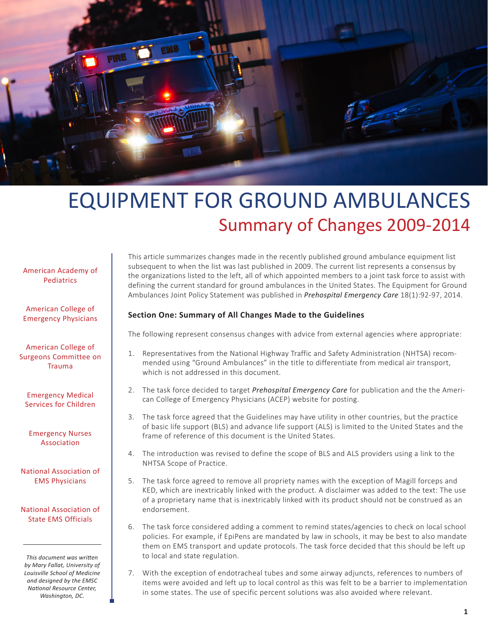

# EQUIPMENT FOR GROUND AMBULANCES Summary of Changes 2009-2014

#### American Academy of Pediatrics

American College of Emergency Physicians

American College of Surgeons Committee on Trauma

Emergency Medical Services for Children

Emergency Nurses Association

National Association of EMS Physicians

National Association of State EMS Officials

*This document was written by Mary Fallat, University of Louisville School of Medicine and designed by the EMSC National Resource Center, Washington, DC.*

This article summarizes changes made in the recently published ground ambulance equipment list subsequent to when the list was last published in 2009. The current list represents a consensus by the organizations listed to the left, all of which appointed members to a joint task force to assist with defining the current standard for ground ambulances in the United States. The Equipment for Ground Ambulances Joint Policy Statement was published in *Prehospital Emergency Care* 18(1):92-97, 2014.

## **Section One: Summary of All Changes Made to the Guidelines**

The following represent consensus changes with advice from external agencies where appropriate:

- 1. Representatives from the National Highway Traffic and Safety Administration (NHTSA) recommended using "Ground Ambulances" in the title to differentiate from medical air transport, which is not addressed in this document.
- 2. The task force decided to target *Prehospital Emergency Care* for publication and the the American College of Emergency Physicians (ACEP) website for posting.
- 3. The task force agreed that the Guidelines may have utility in other countries, but the practice of basic life support (BLS) and advance life support (ALS) is limited to the United States and the frame of reference of this document is the United States.
- 4. The introduction was revised to define the scope of BLS and ALS providers using a link to the NHTSA Scope of Practice.
- 5. The task force agreed to remove all propriety names with the exception of Magill forceps and KED, which are inextricably linked with the product. A disclaimer was added to the text: The use of a proprietary name that is inextricably linked with its product should not be construed as an endorsement.
- 6. The task force considered adding a comment to remind states/agencies to check on local school policies. For example, if EpiPens are mandated by law in schools, it may be best to also mandate them on EMS transport and update protocols. The task force decided that this should be left up to local and state regulation.
- 7. With the exception of endotracheal tubes and some airway adjuncts, references to numbers of items were avoided and left up to local control as this was felt to be a barrier to implementation in some states. The use of specific percent solutions was also avoided where relevant.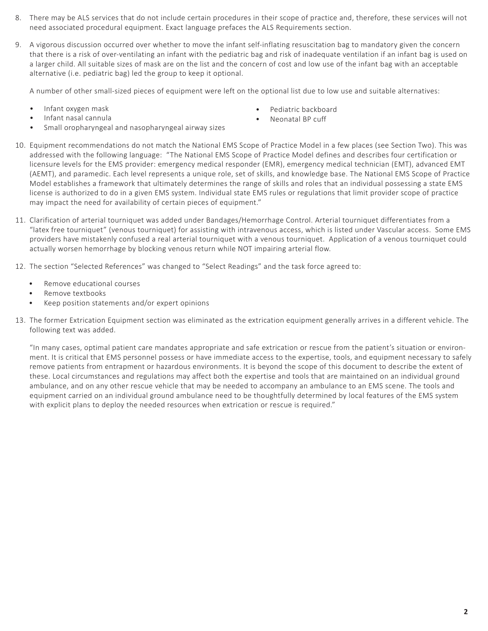- 8. There may be ALS services that do not include certain procedures in their scope of practice and, therefore, these services will not need associated procedural equipment. Exact language prefaces the ALS Requirements section.
- 9. A vigorous discussion occurred over whether to move the infant self-inflating resuscitation bag to mandatory given the concern that there is a risk of over-ventilating an infant with the pediatric bag and risk of inadequate ventilation if an infant bag is used on a larger child. All suitable sizes of mask are on the list and the concern of cost and low use of the infant bag with an acceptable alternative (i.e. pediatric bag) led the group to keep it optional.

A number of other small-sized pieces of equipment were left on the optional list due to low use and suitable alternatives:

- • Infant oxygen mask
- Infant nasal cannula
- Small oropharyngeal and nasopharyngeal airway sizes
- Pediatric backboard
- Neonatal BP cuff
- 10. Equipment recommendations do not match the National EMS Scope of Practice Model in a few places (see Section Two). This was addressed with the following language: "The National EMS Scope of Practice Model defines and describes four certification or licensure levels for the EMS provider: emergency medical responder (EMR), emergency medical technician (EMT), advanced EMT (AEMT), and paramedic. Each level represents a unique role, set of skills, and knowledge base. The National EMS Scope of Practice Model establishes a framework that ultimately determines the range of skills and roles that an individual possessing a state EMS license is authorized to do in a given EMS system. Individual state EMS rules or regulations that limit provider scope of practice may impact the need for availability of certain pieces of equipment."
- 11. Clarification of arterial tourniquet was added under Bandages/Hemorrhage Control. Arterial tourniquet differentiates from a "latex free tourniquet" (venous tourniquet) for assisting with intravenous access, which is listed under Vascular access. Some EMS providers have mistakenly confused a real arterial tourniquet with a venous tourniquet. Application of a venous tourniquet could actually worsen hemorrhage by blocking venous return while NOT impairing arterial flow.
- 12. The section "Selected References" was changed to "Select Readings" and the task force agreed to:
	- Remove educational courses
	- • Remove textbooks
	- Keep position statements and/or expert opinions
- 13. The former Extrication Equipment section was eliminated as the extrication equipment generally arrives in a different vehicle. The following text was added.

"In many cases, optimal patient care mandates appropriate and safe extrication or rescue from the patient's situation or environment. It is critical that EMS personnel possess or have immediate access to the expertise, tools, and equipment necessary to safely remove patients from entrapment or hazardous environments. It is beyond the scope of this document to describe the extent of these. Local circumstances and regulations may affect both the expertise and tools that are maintained on an individual ground ambulance, and on any other rescue vehicle that may be needed to accompany an ambulance to an EMS scene. The tools and equipment carried on an individual ground ambulance need to be thoughtfully determined by local features of the EMS system with explicit plans to deploy the needed resources when extrication or rescue is required."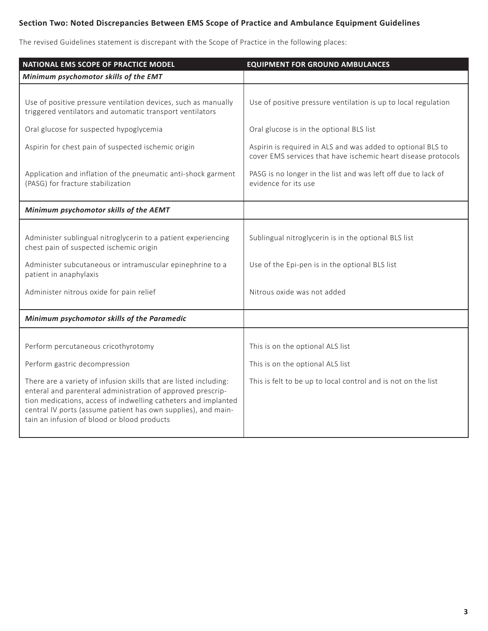# **Section Two: Noted Discrepancies Between EMS Scope of Practice and Ambulance Equipment Guidelines**

The revised Guidelines statement is discrepant with the Scope of Practice in the following places:

| NATIONAL EMS SCOPE OF PRACTICE MODEL                                                                                                                                                                                                                                                                               | <b>EQUIPMENT FOR GROUND AMBULANCES</b>                                                                                       |
|--------------------------------------------------------------------------------------------------------------------------------------------------------------------------------------------------------------------------------------------------------------------------------------------------------------------|------------------------------------------------------------------------------------------------------------------------------|
| Minimum psychomotor skills of the EMT                                                                                                                                                                                                                                                                              |                                                                                                                              |
|                                                                                                                                                                                                                                                                                                                    |                                                                                                                              |
| Use of positive pressure ventilation devices, such as manually<br>triggered ventilators and automatic transport ventilators                                                                                                                                                                                        | Use of positive pressure ventilation is up to local regulation                                                               |
| Oral glucose for suspected hypoglycemia                                                                                                                                                                                                                                                                            | Oral glucose is in the optional BLS list                                                                                     |
| Aspirin for chest pain of suspected ischemic origin                                                                                                                                                                                                                                                                | Aspirin is required in ALS and was added to optional BLS to<br>cover EMS services that have ischemic heart disease protocols |
| Application and inflation of the pneumatic anti-shock garment<br>(PASG) for fracture stabilization                                                                                                                                                                                                                 | PASG is no longer in the list and was left off due to lack of<br>evidence for its use                                        |
| Minimum psychomotor skills of the AEMT                                                                                                                                                                                                                                                                             |                                                                                                                              |
|                                                                                                                                                                                                                                                                                                                    |                                                                                                                              |
| Administer sublingual nitroglycerin to a patient experiencing<br>chest pain of suspected ischemic origin                                                                                                                                                                                                           | Sublingual nitroglycerin is in the optional BLS list                                                                         |
| Administer subcutaneous or intramuscular epinephrine to a<br>patient in anaphylaxis                                                                                                                                                                                                                                | Use of the Epi-pen is in the optional BLS list                                                                               |
| Administer nitrous oxide for pain relief                                                                                                                                                                                                                                                                           | Nitrous oxide was not added                                                                                                  |
| Minimum psychomotor skills of the Paramedic                                                                                                                                                                                                                                                                        |                                                                                                                              |
|                                                                                                                                                                                                                                                                                                                    |                                                                                                                              |
| Perform percutaneous cricothyrotomy                                                                                                                                                                                                                                                                                | This is on the optional ALS list                                                                                             |
| Perform gastric decompression                                                                                                                                                                                                                                                                                      | This is on the optional ALS list                                                                                             |
| There are a variety of infusion skills that are listed including:<br>enteral and parenteral administration of approved prescrip-<br>tion medications, access of indwelling catheters and implanted<br>central IV ports (assume patient has own supplies), and main-<br>tain an infusion of blood or blood products | This is felt to be up to local control and is not on the list                                                                |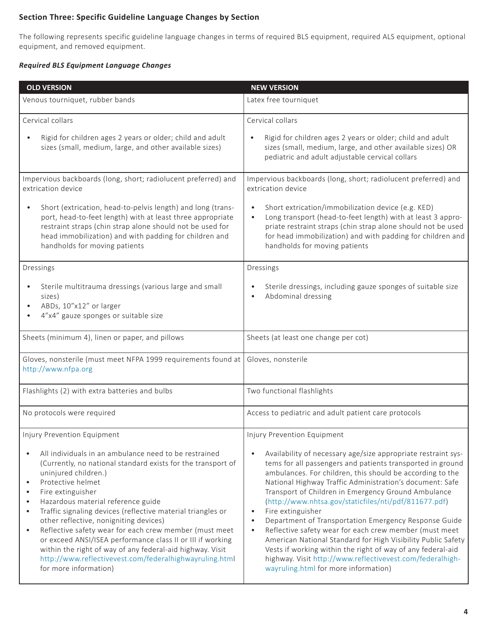# **Section Three: Specific Guideline Language Changes by Section**

The following represents specific guideline language changes in terms of required BLS equipment, required ALS equipment, optional equipment, and removed equipment.

#### *Required BLS Equipment Language Changes*

| <b>OLD VERSION</b>                                                                                                                                                                                                                                                                                                                                                                                                                                                                                                                                                                                                                                                                            | <b>NEW VERSION</b>                                                                                                                                                                                                                                                                                                                                                                                                                                                                                                                                                                                                                                                                                                                                                                      |
|-----------------------------------------------------------------------------------------------------------------------------------------------------------------------------------------------------------------------------------------------------------------------------------------------------------------------------------------------------------------------------------------------------------------------------------------------------------------------------------------------------------------------------------------------------------------------------------------------------------------------------------------------------------------------------------------------|-----------------------------------------------------------------------------------------------------------------------------------------------------------------------------------------------------------------------------------------------------------------------------------------------------------------------------------------------------------------------------------------------------------------------------------------------------------------------------------------------------------------------------------------------------------------------------------------------------------------------------------------------------------------------------------------------------------------------------------------------------------------------------------------|
| Venous tourniquet, rubber bands                                                                                                                                                                                                                                                                                                                                                                                                                                                                                                                                                                                                                                                               | Latex free tourniquet                                                                                                                                                                                                                                                                                                                                                                                                                                                                                                                                                                                                                                                                                                                                                                   |
| Cervical collars                                                                                                                                                                                                                                                                                                                                                                                                                                                                                                                                                                                                                                                                              | Cervical collars                                                                                                                                                                                                                                                                                                                                                                                                                                                                                                                                                                                                                                                                                                                                                                        |
| Rigid for children ages 2 years or older; child and adult<br>sizes (small, medium, large, and other available sizes)                                                                                                                                                                                                                                                                                                                                                                                                                                                                                                                                                                          | Rigid for children ages 2 years or older; child and adult<br>sizes (small, medium, large, and other available sizes) OR<br>pediatric and adult adjustable cervical collars                                                                                                                                                                                                                                                                                                                                                                                                                                                                                                                                                                                                              |
| Impervious backboards (long, short; radiolucent preferred) and<br>extrication device                                                                                                                                                                                                                                                                                                                                                                                                                                                                                                                                                                                                          | Impervious backboards (long, short; radiolucent preferred) and<br>extrication device                                                                                                                                                                                                                                                                                                                                                                                                                                                                                                                                                                                                                                                                                                    |
| Short (extrication, head-to-pelvis length) and long (trans-<br>$\bullet$<br>port, head-to-feet length) with at least three appropriate<br>restraint straps (chin strap alone should not be used for<br>head immobilization) and with padding for children and<br>handholds for moving patients                                                                                                                                                                                                                                                                                                                                                                                                | Short extrication/immobilization device (e.g. KED)<br>Long transport (head-to-feet length) with at least 3 appro-<br>$\bullet$<br>priate restraint straps (chin strap alone should not be used<br>for head immobilization) and with padding for children and<br>handholds for moving patients                                                                                                                                                                                                                                                                                                                                                                                                                                                                                           |
| Dressings                                                                                                                                                                                                                                                                                                                                                                                                                                                                                                                                                                                                                                                                                     | Dressings                                                                                                                                                                                                                                                                                                                                                                                                                                                                                                                                                                                                                                                                                                                                                                               |
| Sterile multitrauma dressings (various large and small<br>$\bullet$<br>sizes)<br>ABDs, 10"x12" or larger<br>$\bullet$<br>4"x4" gauze sponges or suitable size                                                                                                                                                                                                                                                                                                                                                                                                                                                                                                                                 | Sterile dressings, including gauze sponges of suitable size<br>Abdominal dressing                                                                                                                                                                                                                                                                                                                                                                                                                                                                                                                                                                                                                                                                                                       |
| Sheets (minimum 4), linen or paper, and pillows                                                                                                                                                                                                                                                                                                                                                                                                                                                                                                                                                                                                                                               | Sheets (at least one change per cot)                                                                                                                                                                                                                                                                                                                                                                                                                                                                                                                                                                                                                                                                                                                                                    |
| Gloves, nonsterile (must meet NFPA 1999 requirements found at<br>http://www.nfpa.org                                                                                                                                                                                                                                                                                                                                                                                                                                                                                                                                                                                                          | Gloves, nonsterile                                                                                                                                                                                                                                                                                                                                                                                                                                                                                                                                                                                                                                                                                                                                                                      |
| Flashlights (2) with extra batteries and bulbs                                                                                                                                                                                                                                                                                                                                                                                                                                                                                                                                                                                                                                                | Two functional flashlights                                                                                                                                                                                                                                                                                                                                                                                                                                                                                                                                                                                                                                                                                                                                                              |
| No protocols were required                                                                                                                                                                                                                                                                                                                                                                                                                                                                                                                                                                                                                                                                    | Access to pediatric and adult patient care protocols                                                                                                                                                                                                                                                                                                                                                                                                                                                                                                                                                                                                                                                                                                                                    |
| Injury Prevention Equipment                                                                                                                                                                                                                                                                                                                                                                                                                                                                                                                                                                                                                                                                   | Injury Prevention Equipment                                                                                                                                                                                                                                                                                                                                                                                                                                                                                                                                                                                                                                                                                                                                                             |
| All individuals in an ambulance need to be restrained<br>$\bullet$<br>(Currently, no national standard exists for the transport of<br>uninjured children.)<br>Protective helmet<br>$\bullet$<br>Fire extinguisher<br>$\bullet$<br>Hazardous material reference guide<br>$\bullet$<br>Traffic signaling devices (reflective material triangles or<br>$\bullet$<br>other reflective, nonigniting devices)<br>Reflective safety wear for each crew member (must meet<br>$\bullet$<br>or exceed ANSI/ISEA performance class II or III if working<br>within the right of way of any federal-aid highway. Visit<br>http://www.reflectivevest.com/federalhighwayruling.html<br>for more information) | Availability of necessary age/size appropriate restraint sys-<br>tems for all passengers and patients transported in ground<br>ambulances. For children, this should be according to the<br>National Highway Traffic Administration's document: Safe<br>Transport of Children in Emergency Ground Ambulance<br>(http://www.nhtsa.gov/staticfiles/nti/pdf/811677.pdf)<br>Fire extinguisher<br>$\bullet$<br>Department of Transportation Emergency Response Guide<br>$\bullet$<br>Reflective safety wear for each crew member (must meet<br>$\bullet$<br>American National Standard for High Visibility Public Safety<br>Vests if working within the right of way of any federal-aid<br>highway. Visit http://www.reflectivevest.com/federalhigh-<br>wayruling.html for more information) |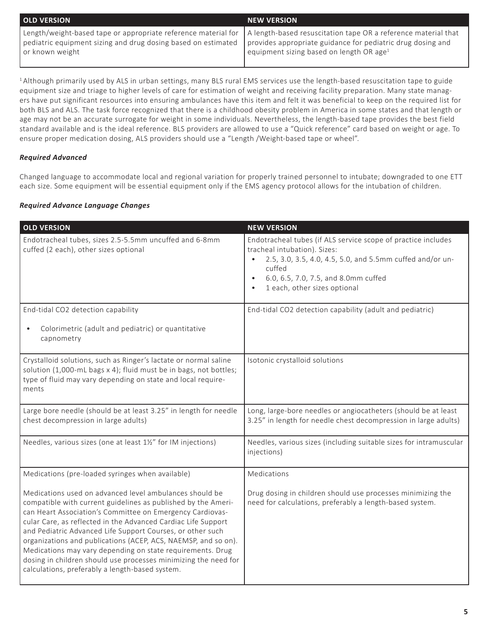| <b>OLD VERSION</b>                                                                                                                                                                                                                                                                  | <b>NEW VERSION</b>                                   |
|-------------------------------------------------------------------------------------------------------------------------------------------------------------------------------------------------------------------------------------------------------------------------------------|------------------------------------------------------|
| Length/weight-based tape or appropriate reference material for   A length-based resuscitation tape OR a reference material that<br>pediatric equipment sizing and drug dosing based on estimated   provides appropriate guidance for pediatric drug dosing and<br>∣ or known weight | equipment sizing based on length OR age <sup>1</sup> |

<sup>1</sup> Although primarily used by ALS in urban settings, many BLS rural EMS services use the length-based resuscitation tape to guide equipment size and triage to higher levels of care for estimation of weight and receiving facility preparation. Many state managers have put significant resources into ensuring ambulances have this item and felt it was beneficial to keep on the required list for both BLS and ALS. The task force recognized that there is a childhood obesity problem in America in some states and that length or age may not be an accurate surrogate for weight in some individuals. Nevertheless, the length-based tape provides the best field standard available and is the ideal reference. BLS providers are allowed to use a "Quick reference" card based on weight or age. To ensure proper medication dosing, ALS providers should use a "Length /Weight-based tape or wheel".

### *Required Advanced*

Ī

Changed language to accommodate local and regional variation for properly trained personnel to intubate; downgraded to one ETT each size. Some equipment will be essential equipment only if the EMS agency protocol allows for the intubation of children.

#### *Required Advance Language Changes*

| <b>OLD VERSION</b>                                                                                                                                                                                                                                                                                                                                                                                                                                                                                                                                                         | <b>NEW VERSION</b>                                                                                                                                                                                                                           |
|----------------------------------------------------------------------------------------------------------------------------------------------------------------------------------------------------------------------------------------------------------------------------------------------------------------------------------------------------------------------------------------------------------------------------------------------------------------------------------------------------------------------------------------------------------------------------|----------------------------------------------------------------------------------------------------------------------------------------------------------------------------------------------------------------------------------------------|
| Endotracheal tubes, sizes 2.5-5.5mm uncuffed and 6-8mm<br>cuffed (2 each), other sizes optional                                                                                                                                                                                                                                                                                                                                                                                                                                                                            | Endotracheal tubes (if ALS service scope of practice includes<br>tracheal intubation). Sizes:<br>2.5, 3.0, 3.5, 4.0, 4.5, 5.0, and 5.5mm cuffed and/or un-<br>cuffed<br>6.0, 6.5, 7.0, 7.5, and 8.0mm cuffed<br>1 each, other sizes optional |
| End-tidal CO2 detection capability                                                                                                                                                                                                                                                                                                                                                                                                                                                                                                                                         | End-tidal CO2 detection capability (adult and pediatric)                                                                                                                                                                                     |
| Colorimetric (adult and pediatric) or quantitative<br>$\bullet$<br>capnometry                                                                                                                                                                                                                                                                                                                                                                                                                                                                                              |                                                                                                                                                                                                                                              |
| Crystalloid solutions, such as Ringer's lactate or normal saline<br>solution (1,000-mL bags x 4); fluid must be in bags, not bottles;<br>type of fluid may vary depending on state and local require-<br>ments                                                                                                                                                                                                                                                                                                                                                             | Isotonic crystalloid solutions                                                                                                                                                                                                               |
| Large bore needle (should be at least 3.25" in length for needle<br>chest decompression in large adults)                                                                                                                                                                                                                                                                                                                                                                                                                                                                   | Long, large-bore needles or angiocatheters (should be at least<br>3.25" in length for needle chest decompression in large adults)                                                                                                            |
| Needles, various sizes (one at least 1½" for IM injections)                                                                                                                                                                                                                                                                                                                                                                                                                                                                                                                | Needles, various sizes (including suitable sizes for intramuscular<br>injections)                                                                                                                                                            |
| Medications (pre-loaded syringes when available)                                                                                                                                                                                                                                                                                                                                                                                                                                                                                                                           | Medications                                                                                                                                                                                                                                  |
| Medications used on advanced level ambulances should be<br>compatible with current guidelines as published by the Ameri-<br>can Heart Association's Committee on Emergency Cardiovas-<br>cular Care, as reflected in the Advanced Cardiac Life Support<br>and Pediatric Advanced Life Support Courses, or other such<br>organizations and publications (ACEP, ACS, NAEMSP, and so on).<br>Medications may vary depending on state requirements. Drug<br>dosing in children should use processes minimizing the need for<br>calculations, preferably a length-based system. | Drug dosing in children should use processes minimizing the<br>need for calculations, preferably a length-based system.                                                                                                                      |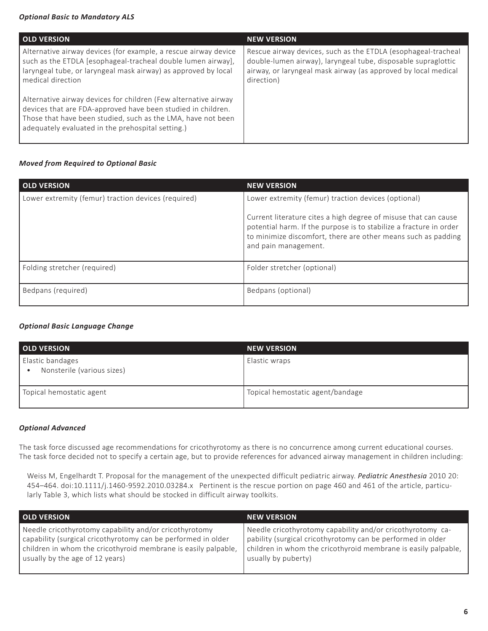#### *Optional Basic to Mandatory ALS*

| <b>OLD VERSION</b>                                                                                                                                                                                                                                   | <b>NEW VERSION</b>                                                                                                                                                                                             |
|------------------------------------------------------------------------------------------------------------------------------------------------------------------------------------------------------------------------------------------------------|----------------------------------------------------------------------------------------------------------------------------------------------------------------------------------------------------------------|
| Alternative airway devices (for example, a rescue airway device<br>such as the ETDLA [esophageal-tracheal double lumen airway],<br>laryngeal tube, or laryngeal mask airway) as approved by local<br>medical direction                               | Rescue airway devices, such as the ETDLA (esophageal-tracheal<br>double-lumen airway), laryngeal tube, disposable supraglottic<br>airway, or laryngeal mask airway (as approved by local medical<br>direction) |
| Alternative airway devices for children (Few alternative airway<br>devices that are FDA-approved have been studied in children.<br>Those that have been studied, such as the LMA, have not been<br>adequately evaluated in the prehospital setting.) |                                                                                                                                                                                                                |

#### *Moved from Required to Optional Basic*

| <b>OLD VERSION</b>                                  | <b>NEW VERSION</b>                                                                                                                                                                                                                                                                    |
|-----------------------------------------------------|---------------------------------------------------------------------------------------------------------------------------------------------------------------------------------------------------------------------------------------------------------------------------------------|
| Lower extremity (femur) traction devices (required) | Lower extremity (femur) traction devices (optional)<br>Current literature cites a high degree of misuse that can cause<br>potential harm. If the purpose is to stabilize a fracture in order<br>to minimize discomfort, there are other means such as padding<br>and pain management. |
| Folding stretcher (required)                        | Folder stretcher (optional)                                                                                                                                                                                                                                                           |
| Bedpans (required)                                  | Bedpans (optional)                                                                                                                                                                                                                                                                    |

#### *Optional Basic Language Change*

| <b>OLD VERSION</b>                             | <b>NEW VERSION</b>               |
|------------------------------------------------|----------------------------------|
| Elastic bandages<br>Nonsterile (various sizes) | Elastic wraps                    |
| Topical hemostatic agent                       | Topical hemostatic agent/bandage |

#### *Optional Advanced*

The task force discussed age recommendations for cricothyrotomy as there is no concurrence among current educational courses. The task force decided not to specify a certain age, but to provide references for advanced airway management in children including:

Weiss M, Engelhardt T. Proposal for the management of the unexpected difficult pediatric airway. *Pediatric Anesthesia* 2010 20: 454–464. doi:10.1111/j.1460-9592.2010.03284.x Pertinent is the rescue portion on page 460 and 461 of the article, particularly Table 3, which lists what should be stocked in difficult airway toolkits.

| <b>OLD VERSION</b>                                             | <b>NEW VERSION</b>                                             |
|----------------------------------------------------------------|----------------------------------------------------------------|
| Needle cricothyrotomy capability and/or cricothyrotomy         | Needle cricothyrotomy capability and/or cricothyrotomy ca-     |
| capability (surgical cricothyrotomy can be performed in older  | pability (surgical cricothyrotomy can be performed in older    |
| children in whom the cricothyroid membrane is easily palpable, | children in whom the cricothyroid membrane is easily palpable, |
| usually by the age of 12 years)                                | usually by puberty)                                            |